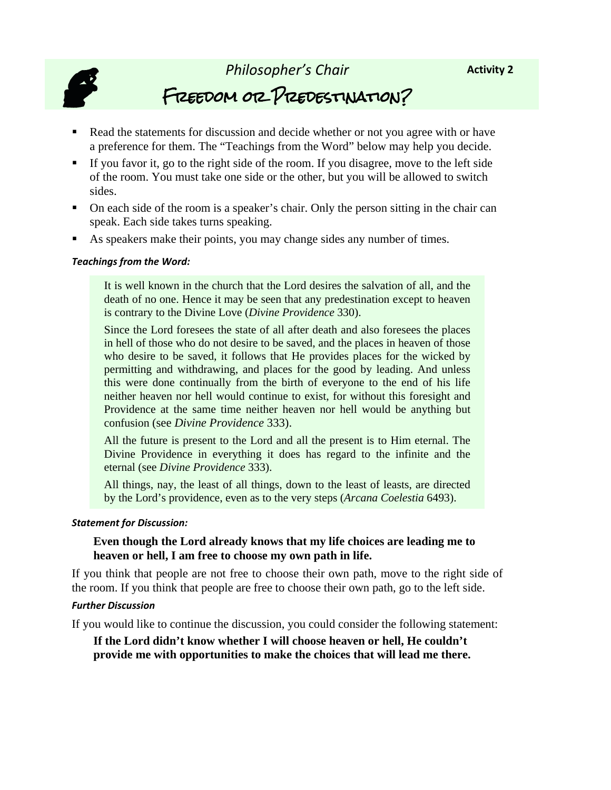

*Philosopher's Chair* Freedom or Predestination?

- Read the statements for discussion and decide whether or not you agree with or have a preference for them. The "Teachings from the Word" below may help you decide.
- If you favor it, go to the right side of the room. If you disagree, move to the left side of the room. You must take one side or the other, but you will be allowed to switch sides.
- On each side of the room is a speaker's chair. Only the person sitting in the chair can speak. Each side takes turns speaking.
- As speakers make their points, you may change sides any number of times.

#### *Teachings from the Word:*

It is well known in the church that the Lord desires the salvation of all, and the death of no one. Hence it may be seen that any predestination except to heaven is contrary to the Divine Love (*Divine Providence* 330).

Since the Lord foresees the state of all after death and also foresees the places in hell of those who do not desire to be saved, and the places in heaven of those who desire to be saved, it follows that He provides places for the wicked by permitting and withdrawing, and places for the good by leading. And unless this were done continually from the birth of everyone to the end of his life neither heaven nor hell would continue to exist, for without this foresight and Providence at the same time neither heaven nor hell would be anything but confusion (see *Divine Providence* 333).

All the future is present to the Lord and all the present is to Him eternal. The Divine Providence in everything it does has regard to the infinite and the eternal (see *Divine Providence* 333).

All things, nay, the least of all things, down to the least of leasts, are directed by the Lord's providence, even as to the very steps (*Arcana Coelestia* 6493).

#### *Statement for Discussion:*

# **Even though the Lord already knows that my life choices are leading me to heaven or hell, I am free to choose my own path in life.**

If you think that people are not free to choose their own path, move to the right side of the room. If you think that people are free to choose their own path, go to the left side.

#### *Further Discussion*

If you would like to continue the discussion, you could consider the following statement:

**If the Lord didn't know whether I will choose heaven or hell, He couldn't provide me with opportunities to make the choices that will lead me there.**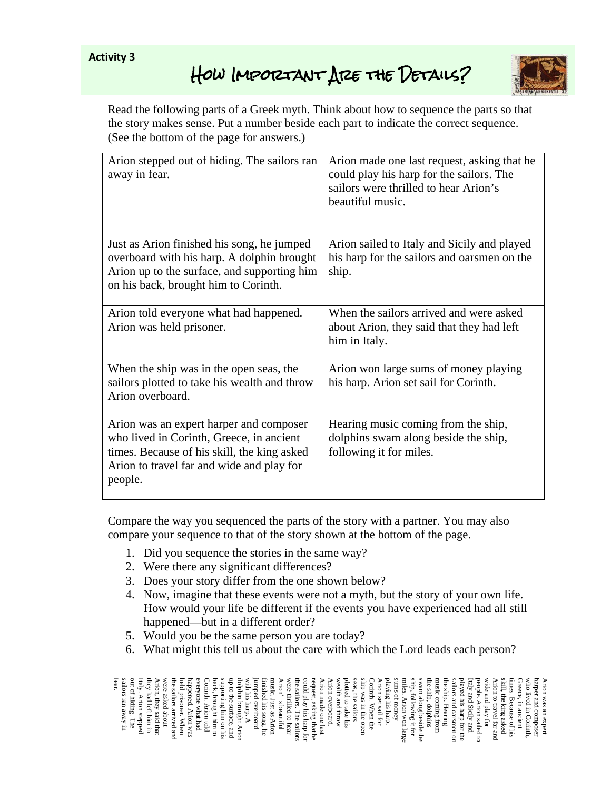# **Activity 3**

# HOW IMPORTANT ARE THE DETAILS?



Read the following parts of a Greek myth. Think about how to sequence the parts so that the story makes sense. Put a number beside each part to indicate the correct sequence. (See the bottom of the page for answers.)

| Arion stepped out of hiding. The sailors ran<br>away in fear.                                                                                                                              | Arion made one last request, asking that he<br>could play his harp for the sailors. The<br>sailors were thrilled to hear Arion's<br>beautiful music. |
|--------------------------------------------------------------------------------------------------------------------------------------------------------------------------------------------|------------------------------------------------------------------------------------------------------------------------------------------------------|
| Just as Arion finished his song, he jumped<br>overboard with his harp. A dolphin brought<br>Arion up to the surface, and supporting him<br>on his back, brought him to Corinth.            | Arion sailed to Italy and Sicily and played<br>his harp for the sailors and oarsmen on the<br>ship.                                                  |
| Arion told everyone what had happened.<br>Arion was held prisoner.                                                                                                                         | When the sailors arrived and were asked<br>about Arion, they said that they had left<br>him in Italy.                                                |
| When the ship was in the open seas, the<br>sailors plotted to take his wealth and throw<br>Arion overboard.                                                                                | Arion won large sums of money playing<br>his harp. Arion set sail for Corinth.                                                                       |
| Arion was an expert harper and composer<br>who lived in Corinth, Greece, in ancient<br>times. Because of his skill, the king asked<br>Arion to travel far and wide and play for<br>people. | Hearing music coming from the ship,<br>dolphins swam along beside the ship,<br>following it for miles.                                               |

Compare the way you sequenced the parts of the story with a partner. You may also compare your sequence to that of the story shown at the bottom of the page.

- 1. Did you sequence the stories in the same way?
- 2. Were there any significant differences?
- 3. Does your story differ from the one shown below?
- 4. Now, imagine that these events were not a myth, but the story of your own life. How would your life be different if the events you have experienced had all still happened—but in a different order?
- 5. Would you be the same person you are today?
- 6. What might this tell us about the care with which the Lord leads each person?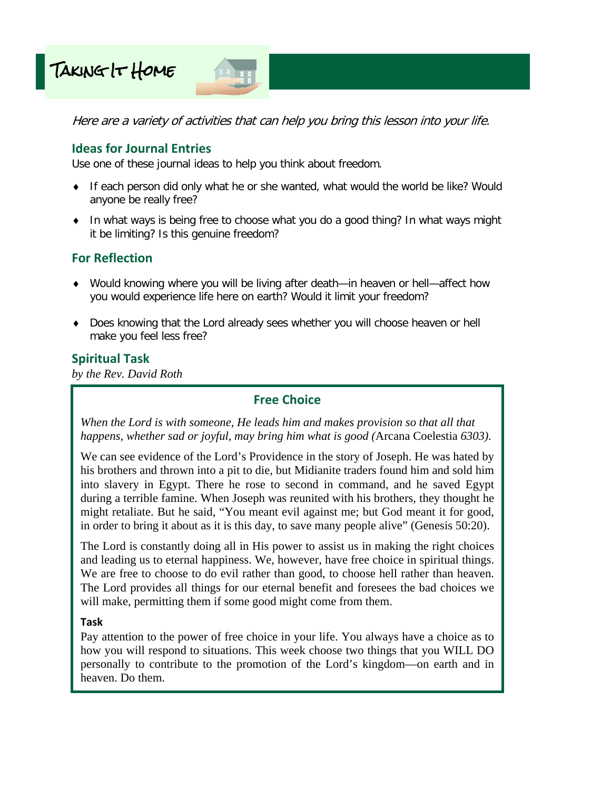



Here are a variety of activities that can help you bring this lesson into your life.

# **Ideas for Journal Entries**

Use one of these journal ideas to help you think about freedom.

- ♦ If each person did only what he or she wanted, what would the world be like? Would anyone be really free?
- ♦ In what ways is being free to choose what you do a good thing? In what ways might it be limiting? Is this genuine freedom?

# **For Reflection**

- ♦ Would knowing where you will be living after death—in heaven or hell—affect how you would experience life here on earth? Would it limit your freedom?
- ♦ Does knowing that the Lord already sees whether you will choose heaven or hell make you feel less free?

# **Spiritual Task**

*by the Rev. David Roth* 

# **Free Choice**

*When the Lord is with someone, He leads him and makes provision so that all that happens, whether sad or joyful, may bring him what is good (*Arcana Coelestia *6303).* 

We can see evidence of the Lord's Providence in the story of Joseph. He was hated by his brothers and thrown into a pit to die, but Midianite traders found him and sold him into slavery in Egypt. There he rose to second in command, and he saved Egypt during a terrible famine. When Joseph was reunited with his brothers, they thought he might retaliate. But he said, "You meant evil against me; but God meant it for good, in order to bring it about as it is this day, to save many people alive" (Genesis 50:20).

The Lord is constantly doing all in His power to assist us in making the right choices and leading us to eternal happiness. We, however, have free choice in spiritual things. We are free to choose to do evil rather than good, to choose hell rather than heaven. The Lord provides all things for our eternal benefit and foresees the bad choices we will make, permitting them if some good might come from them.

# **Task**

Pay attention to the power of free choice in your life. You always have a choice as to how you will respond to situations. This week choose two things that you WILL DO personally to contribute to the promotion of the Lord's kingdom—on earth and in heaven. Do them.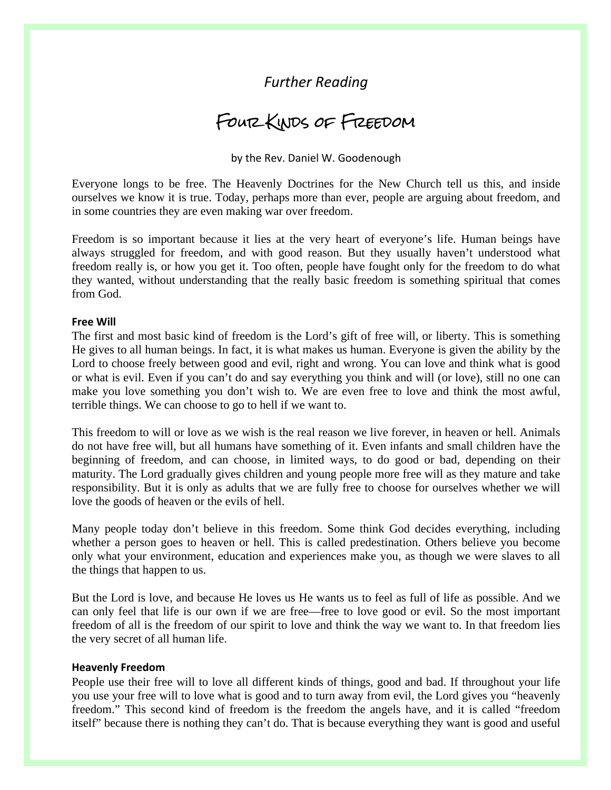# *Further Reading*

# Four Kinds of Freedom

by the Rev. Daniel W. Goodenough

Everyone longs to be free. The Heavenly Doctrines for the New Church tell us this, and inside ourselves we know it is true. Today, perhaps more than ever, people are arguing about freedom, and in some countries they are even making war over freedom.

Freedom is so important because it lies at the very heart of everyone's life. Human beings have always struggled for freedom, and with good reason. But they usually haven't understood what freedom really is, or how you get it. Too often, people have fought only for the freedom to do what they wanted, without understanding that the really basic freedom is something spiritual that comes from God.

## **Free Will**

The first and most basic kind of freedom is the Lord's gift of free will, or liberty. This is something He gives to all human beings. In fact, it is what makes us human. Everyone is given the ability by the Lord to choose freely between good and evil, right and wrong. You can love and think what is good or what is evil. Even if you can't do and say everything you think and will (or love), still no one can make you love something you don't wish to. We are even free to love and think the most awful, terrible things. We can choose to go to hell if we want to.

This freedom to will or love as we wish is the real reason we live forever, in heaven or hell. Animals do not have free will, but all humans have something of it. Even infants and small children have the beginning of freedom, and can choose, in limited ways, to do good or bad, depending on their maturity. The Lord gradually gives children and young people more free will as they mature and take responsibility. But it is only as adults that we are fully free to choose for ourselves whether we will love the goods of heaven or the evils of hell.

Many people today don't believe in this freedom. Some think God decides everything, including whether a person goes to heaven or hell. This is called predestination. Others believe you become only what your environment, education and experiences make you, as though we were slaves to all the things that happen to us.

But the Lord is love, and because He loves us He wants us to feel as full of life as possible. And we can only feel that life is our own if we are free—free to love good or evil. So the most important freedom of all is the freedom of our spirit to love and think the way we want to. In that freedom lies the very secret of all human life.

#### **Heavenly Freedom**

People use their free will to love all different kinds of things, good and bad. If throughout your life you use your free will to love what is good and to turn away from evil, the Lord gives you "heavenly freedom." This second kind of freedom is the freedom the angels have, and it is called "freedom itself" because there is nothing they can't do. That is because everything they want is good and useful